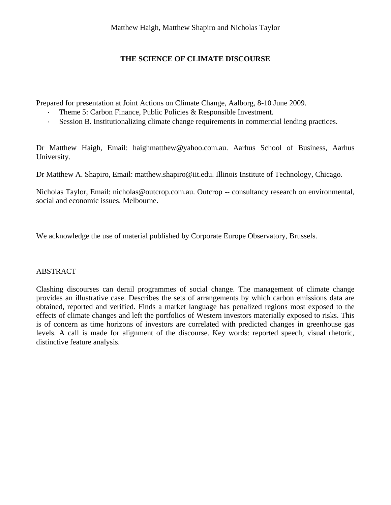# **THE SCIENCE OF CLIMATE DISCOURSE**

Prepared for presentation at Joint Actions on Climate Change, Aalborg, 8-10 June 2009.

- Theme 5: Carbon Finance, Public Policies & Responsible Investment.
- ⋅ Session B. Institutionalizing climate change requirements in commercial lending practices.

Dr Matthew Haigh, Email: haighmatthew@yahoo.com.au. Aarhus School of Business, Aarhus University.

Dr Matthew A. Shapiro, Email: matthew.shapiro@iit.edu. Illinois Institute of Technology, Chicago.

Nicholas Taylor, Email: nicholas@outcrop.com.au. Outcrop -- consultancy research on environmental, social and economic issues. Melbourne.

We acknowledge the use of material published by Corporate Europe Observatory, Brussels.

# ABSTRACT

Clashing discourses can derail programmes of social change. The management of climate change provides an illustrative case. Describes the sets of arrangements by which carbon emissions data are obtained, reported and verified. Finds a market language has penalized regions most exposed to the effects of climate changes and left the portfolios of Western investors materially exposed to risks. This is of concern as time horizons of investors are correlated with predicted changes in greenhouse gas levels. A call is made for alignment of the discourse. Key words: reported speech, visual rhetoric, distinctive feature analysis.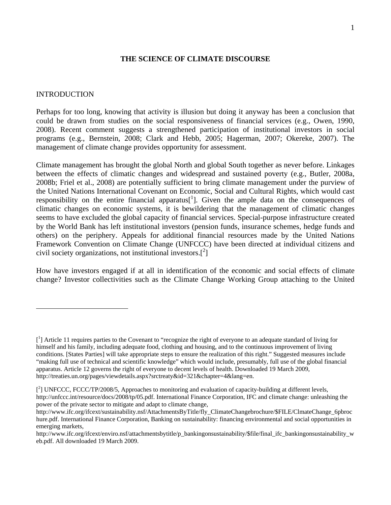### **THE SCIENCE OF CLIMATE DISCOURSE**

### INTRODUCTION

 $\overline{a}$ 

Perhaps for too long, knowing that activity is illusion but doing it anyway has been a conclusion that could be drawn from studies on the social responsiveness of financial services (e.g., Owen, 1990, 2008). Recent comment suggests a strengthened participation of institutional investors in social programs (e.g., Bernstein, 2008; Clark and Hebb, 2005; Hagerman, 2007; Okereke, 2007). The management of climate change provides opportunity for assessment.

Climate management has brought the global North and global South together as never before. Linkages between the effects of climatic changes and widespread and sustained poverty (e.g., Butler, 2008a, 2008b; Friel et al., 2008) are potentially sufficient to bring climate management under the purview of the United Nations International Covenant on Economic, Social and Cultural Rights, which would cast responsibility on the entire financial apparatus<sup>[1</sup>]. Given the ample data on the consequences of climatic changes on economic systems, it is bewildering that the management of climatic changes seems to have excluded the global capacity of financial services. Special-purpose infrastructure created by the World Bank has left institutional investors (pension funds, insurance schemes, hedge funds and others) on the periphery. Appeals for additional financial resources made by the United Nations Framework Convention on Climate Change (UNFCCC) have been directed at individual citizens and civil society organizations, not institutional investors. $\binom{2}{1}$ 

How have investors engaged if at all in identification of the economic and social effects of climate change? Investor collectivities such as the Climate Change Working Group attaching to the United

<sup>[&</sup>lt;sup>1</sup>] Article 11 requires parties to the Covenant to "recognize the right of everyone to an adequate standard of living for himself and his family, including adequate food, clothing and housing, and to the continuous improvement of living conditions. [States Parties] will take appropriate steps to ensure the realization of this right." Suggested measures include "making full use of technical and scientific knowledge" which would include, presumably, full use of the global financial apparatus. Article 12 governs the right of everyone to decent levels of health. Downloaded 19 March 2009, http://treaties.un.org/pages/viewdetails.aspx?srctreaty&id=321&chapter=4&lang=en.

<sup>[&</sup>lt;sup>2</sup>] UNFCCC, FCCC/TP/2008/5, Approaches to monitoring and evaluation of capacity-building at different levels,

http://unfccc.int/resource/docs/2008/tp/05.pdf. International Finance Corporation, IFC and climate change: unleashing the power of the private sector to mitigate and adapt to climate change,

http://www.ifc.org/ifcext/sustainability.nsf/AttachmentsByTitle/fly\_ClimateChangebrochure/\$FILE/ClmateChange\_6pbroc hure.pdf. International Finance Corporation, Banking on sustainability: financing environmental and social opportunities in emerging markets,

http://www.ifc.org/ifcext/enviro.nsf/attachmentsbytitle/p\_bankingonsustainability/\$file/final\_ifc\_bankingonsustainability\_w eb.pdf. All downloaded 19 March 2009.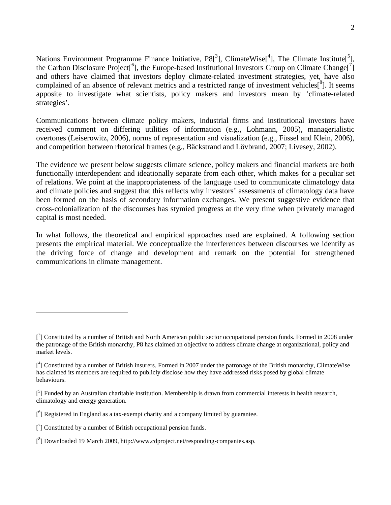Nations Environment Programme Finance Initiative,  $P8[^3]$ , ClimateWise<sup>[4</sup>], The Climate Institute<sup>[5</sup>], the Carbon Disclosure Project<sup>[6</sup>], the Europe-based Institutional Investors Group on Climate Change<sup>[7</sup>] and others have claimed that investors deploy climate-related investment strategies, yet, have also complained of an absence of relevant metrics and a restricted range of investment vehicles $\binom{8}{1}$ . It seems apposite to investigate what scientists, policy makers and investors mean by 'climate-related strategies'.

Communications between climate policy makers, industrial firms and institutional investors have received comment on differing utilities of information (e.g., Lohmann, 2005), managerialistic overtones (Leiserowitz, 2006), norms of representation and visualization (e.g., Füssel and Klein, 2006), and competition between rhetorical frames (e.g., Bäckstrand and Lövbrand, 2007; Livesey, 2002).

The evidence we present below suggests climate science, policy makers and financial markets are both functionally interdependent and ideationally separate from each other, which makes for a peculiar set of relations. We point at the inappropriateness of the language used to communicate climatology data and climate policies and suggest that this reflects why investors' assessments of climatology data have been formed on the basis of secondary information exchanges. We present suggestive evidence that cross-colonialization of the discourses has stymied progress at the very time when privately managed capital is most needed.

In what follows, the theoretical and empirical approaches used are explained. A following section presents the empirical material. We conceptualize the interferences between discourses we identify as the driving force of change and development and remark on the potential for strengthened communications in climate management.

<sup>[&</sup>lt;sup>3</sup>] Constituted by a number of British and North American public sector occupational pension funds. Formed in 2008 under the patronage of the British monarchy, P8 has claimed an objective to address climate change at organizational, policy and market levels.

<sup>[&</sup>lt;sup>4</sup>] Constituted by a number of British insurers. Formed in 2007 under the patronage of the British monarchy, ClimateWise has claimed its members are required to publicly disclose how they have addressed risks posed by global climate behaviours.

<sup>[&</sup>lt;sup>5</sup>] Funded by an Australian charitable institution. Membership is drawn from commercial interests in health research, climatology and energy generation.

 $[$ <sup>6</sup>] Registered in England as a tax-exempt charity and a company limited by guarantee.

 $\left[ \begin{smallmatrix} 7 \end{smallmatrix} \right]$  Constituted by a number of British occupational pension funds.

<sup>[&</sup>lt;sup>8</sup>] Downloaded 19 March 2009, http://www.cdproject.net/responding-companies.asp.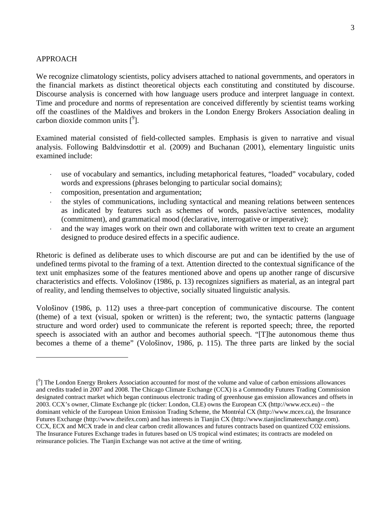### APPROACH

 $\overline{a}$ 

We recognize climatology scientists, policy advisers attached to national governments, and operators in the financial markets as distinct theoretical objects each constituting and constituted by discourse. Discourse analysis is concerned with how language users produce and interpret language in context. Time and procedure and norms of representation are conceived differently by scientist teams working off the coastlines of the Maldives and brokers in the London Energy Brokers Association dealing in carbon dioxide common units  $[$ <sup>9</sup>].

Examined material consisted of field-collected samples. Emphasis is given to narrative and visual analysis. Following Baldvinsdottir et al. (2009) and Buchanan (2001), elementary linguistic units examined include:

- use of vocabulary and semantics, including metaphorical features, "loaded" vocabulary, coded words and expressions (phrases belonging to particular social domains);
- ⋅ composition, presentation and argumentation;
- the styles of communications, including syntactical and meaning relations between sentences as indicated by features such as schemes of words, passive/active sentences, modality (commitment), and grammatical mood (declarative, interrogative or imperative);
- and the way images work on their own and collaborate with written text to create an argument designed to produce desired effects in a specific audience.

Rhetoric is defined as deliberate uses to which discourse are put and can be identified by the use of undefined terms pivotal to the framing of a text. Attention directed to the contextual significance of the text unit emphasizes some of the features mentioned above and opens up another range of discursive characteristics and effects. Vološinov (1986, p. 13) recognizes signifiers as material, as an integral part of reality, and lending themselves to objective, socially situated linguistic analysis.

Vološinov (1986, p. 112) uses a three-part conception of communicative discourse. The content (theme) of a text (visual, spoken or written) is the referent; two, the syntactic patterns (language structure and word order) used to communicate the referent is reported speech; three, the reported speech is associated with an author and becomes authorial speech. "[T]he autonomous theme thus becomes a theme of a theme" (Vološinov, 1986, p. 115). The three parts are linked by the social

<sup>[&</sup>lt;sup>9</sup>] The London Energy Brokers Association accounted for most of the volume and value of carbon emissions allowances and credits traded in 2007 and 2008. The Chicago Climate Exchange (CCX) is a Commodity Futures Trading Commission designated contract market which began continuous electronic trading of greenhouse gas emission allowances and offsets in 2003. CCX's owner, Climate Exchange plc (ticker: London, CLE) owns the European CX (http://www.ecx.eu) – the dominant vehicle of the European Union Emission Trading Scheme, the Montréal CX (http://www.mcex.ca), the Insurance Futures Exchange (http://www.theifex.com) and has interests in Tianjin CX (http://www.tianjinclimateexchange.com). CCX, ECX and MCX trade in and clear carbon credit allowances and futures contracts based on quantized CO2 emissions. The Insurance Futures Exchange trades in futures based on US tropical wind estimates; its contracts are modeled on reinsurance policies. The Tianjin Exchange was not active at the time of writing.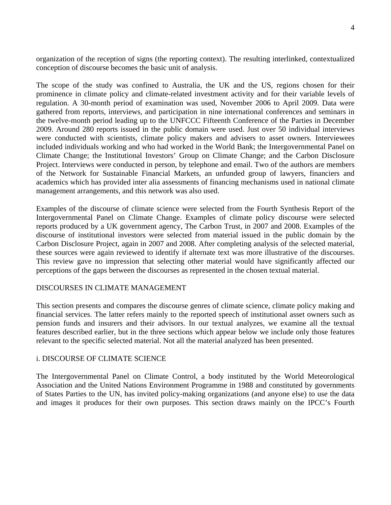organization of the reception of signs (the reporting context). The resulting interlinked, contextualized conception of discourse becomes the basic unit of analysis.

The scope of the study was confined to Australia, the UK and the US, regions chosen for their prominence in climate policy and climate-related investment activity and for their variable levels of regulation. A 30-month period of examination was used, November 2006 to April 2009. Data were gathered from reports, interviews, and participation in nine international conferences and seminars in the twelve-month period leading up to the UNFCCC Fifteenth Conference of the Parties in December 2009. Around 280 reports issued in the public domain were used. Just over 50 individual interviews were conducted with scientists, climate policy makers and advisers to asset owners. Interviewees included individuals working and who had worked in the World Bank; the Intergovernmental Panel on Climate Change; the Institutional Investors' Group on Climate Change; and the Carbon Disclosure Project. Interviews were conducted in person, by telephone and email. Two of the authors are members of the Network for Sustainable Financial Markets, an unfunded group of lawyers, financiers and academics which has provided inter alia assessments of financing mechanisms used in national climate management arrangements, and this network was also used.

Examples of the discourse of climate science were selected from the Fourth Synthesis Report of the Intergovernmental Panel on Climate Change. Examples of climate policy discourse were selected reports produced by a UK government agency, The Carbon Trust, in 2007 and 2008. Examples of the discourse of institutional investors were selected from material issued in the public domain by the Carbon Disclosure Project, again in 2007 and 2008. After completing analysis of the selected material, these sources were again reviewed to identify if alternate text was more illustrative of the discourses. This review gave no impression that selecting other material would have significantly affected our perceptions of the gaps between the discourses as represented in the chosen textual material.

## DISCOURSES IN CLIMATE MANAGEMENT

This section presents and compares the discourse genres of climate science, climate policy making and financial services. The latter refers mainly to the reported speech of institutional asset owners such as pension funds and insurers and their advisors. In our textual analyzes, we examine all the textual features described earlier, but in the three sections which appear below we include only those features relevant to the specific selected material. Not all the material analyzed has been presented.

### i. DISCOURSE OF CLIMATE SCIENCE

The Intergovernmental Panel on Climate Control, a body instituted by the World Meteorological Association and the United Nations Environment Programme in 1988 and constituted by governments of States Parties to the UN, has invited policy-making organizations (and anyone else) to use the data and images it produces for their own purposes. This section draws mainly on the IPCC's Fourth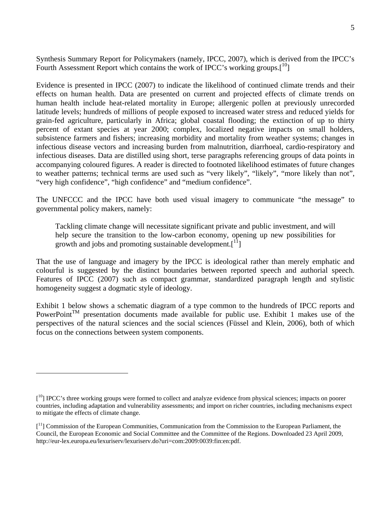Synthesis Summary Report for Policymakers (namely, IPCC, 2007), which is derived from the IPCC's Fourth Assessment Report which contains the work of IPCC's working groups.<sup>[10</sup>]

Evidence is presented in IPCC (2007) to indicate the likelihood of continued climate trends and their effects on human health. Data are presented on current and projected effects of climate trends on human health include heat-related mortality in Europe; allergenic pollen at previously unrecorded latitude levels; hundreds of millions of people exposed to increased water stress and reduced yields for grain-fed agriculture, particularly in Africa; global coastal flooding; the extinction of up to thirty percent of extant species at year 2000; complex, localized negative impacts on small holders, subsistence farmers and fishers; increasing morbidity and mortality from weather systems; changes in infectious disease vectors and increasing burden from malnutrition, diarrhoeal, cardio-respiratory and infectious diseases. Data are distilled using short, terse paragraphs referencing groups of data points in accompanying coloured figures. A reader is directed to footnoted likelihood estimates of future changes to weather patterns; technical terms are used such as "very likely", "likely", "more likely than not", "very high confidence", "high confidence" and "medium confidence".

The UNFCCC and the IPCC have both used visual imagery to communicate "the message" to governmental policy makers, namely:

Tackling climate change will necessitate significant private and public investment, and will help secure the transition to the low-carbon economy, opening up new possibilities for growth and jobs and promoting sustainable development. $\lceil \frac{11}{1} \rceil$ 

That the use of language and imagery by the IPCC is ideological rather than merely emphatic and colourful is suggested by the distinct boundaries between reported speech and authorial speech. Features of IPCC (2007) such as compact grammar, standardized paragraph length and stylistic homogeneity suggest a dogmatic style of ideology.

Exhibit 1 below shows a schematic diagram of a type common to the hundreds of IPCC reports and PowerPoint<sup>TM</sup> presentation documents made available for public use. Exhibit 1 makes use of the perspectives of the natural sciences and the social sciences (Füssel and Klein, 2006), both of which focus on the connections between system components.

 $[10]$  IPCC's three working groups were formed to collect and analyze evidence from physical sciences; impacts on poorer countries, including adaptation and vulnerability assessments; and import on richer countries, including mechanisms expect to mitigate the effects of climate change.

<sup>[&</sup>lt;sup>11</sup>] Commission of the European Communities, Communication from the Commission to the European Parliament, the Council, the European Economic and Social Committee and the Committee of the Regions. Downloaded 23 April 2009, http://eur-lex.europa.eu/lexuriserv/lexuriserv.do?uri=com:2009:0039:fin:en:pdf.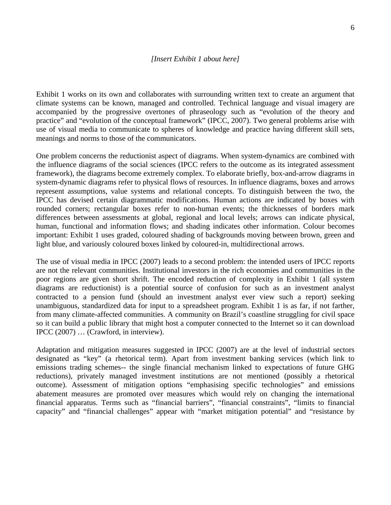### *[Insert Exhibit 1 about here]*

Exhibit 1 works on its own and collaborates with surrounding written text to create an argument that climate systems can be known, managed and controlled. Technical language and visual imagery are accompanied by the progressive overtones of phraseology such as "evolution of the theory and practice" and "evolution of the conceptual framework" (IPCC, 2007). Two general problems arise with use of visual media to communicate to spheres of knowledge and practice having different skill sets, meanings and norms to those of the communicators.

One problem concerns the reductionist aspect of diagrams. When system-dynamics are combined with the influence diagrams of the social sciences (IPCC refers to the outcome as its integrated assessment framework), the diagrams become extremely complex. To elaborate briefly, box-and-arrow diagrams in system-dynamic diagrams refer to physical flows of resources. In influence diagrams, boxes and arrows represent assumptions, value systems and relational concepts. To distinguish between the two, the IPCC has devised certain diagrammatic modifications. Human actions are indicated by boxes with rounded corners; rectangular boxes refer to non-human events; the thicknesses of borders mark differences between assessments at global, regional and local levels; arrows can indicate physical, human, functional and information flows; and shading indicates other information. Colour becomes important: Exhibit 1 uses graded, coloured shading of backgrounds moving between brown, green and light blue, and variously coloured boxes linked by coloured-in, multidirectional arrows.

The use of visual media in IPCC (2007) leads to a second problem: the intended users of IPCC reports are not the relevant communities. Institutional investors in the rich economies and communities in the poor regions are given short shrift. The encoded reduction of complexity in Exhibit 1 (all system diagrams are reductionist) is a potential source of confusion for such as an investment analyst contracted to a pension fund (should an investment analyst ever view such a report) seeking unambiguous, standardized data for input to a spreadsheet program. Exhibit 1 is as far, if not farther, from many climate-affected communities. A community on Brazil's coastline struggling for civil space so it can build a public library that might host a computer connected to the Internet so it can download IPCC (2007) … (Crawford, in interview).

Adaptation and mitigation measures suggested in IPCC (2007) are at the level of industrial sectors designated as "key" (a rhetorical term). Apart from investment banking services (which link to emissions trading schemes-- the single financial mechanism linked to expectations of future GHG reductions), privately managed investment institutions are not mentioned (possibly a rhetorical outcome). Assessment of mitigation options "emphasising specific technologies" and emissions abatement measures are promoted over measures which would rely on changing the international financial apparatus. Terms such as "financial barriers", "financial constraints", "limits to financial capacity" and "financial challenges" appear with "market mitigation potential" and "resistance by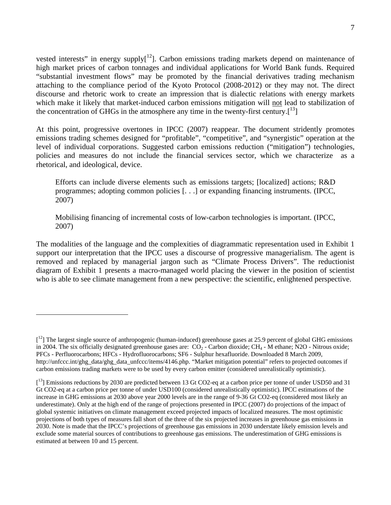vested interests" in energy supply<sup>[12</sup>]. Carbon emissions trading markets depend on maintenance of high market prices of carbon tonnages and individual applications for World Bank funds. Required "substantial investment flows" may be promoted by the financial derivatives trading mechanism attaching to the compliance period of the Kyoto Protocol (2008-2012) or they may not. The direct discourse and rhetoric work to create an impression that is dialectic relations with energy markets which make it likely that market-induced carbon emissions mitigation will not lead to stabilization of the concentration of GHGs in the atmosphere any time in the twenty-first century.<sup>[13</sup>]

At this point, progressive overtones in IPCC (2007) reappear. The document stridently promotes emissions trading schemes designed for "profitable", "competitive", and "synergistic" operation at the level of individual corporations. Suggested carbon emissions reduction ("mitigation") technologies, policies and measures do not include the financial services sector, which we characterize as a rhetorical, and ideological, device.

Efforts can include diverse elements such as emissions targets; [localized] actions; R&D programmes; adopting common policies [. . .] or expanding financing instruments. (IPCC, 2007)

Mobilising financing of incremental costs of low-carbon technologies is important. (IPCC, 2007)

The modalities of the language and the complexities of diagrammatic representation used in Exhibit 1 support our interpretation that the IPCC uses a discourse of progressive managerialism. The agent is removed and replaced by managerial jargon such as "Climate Process Drivers". The reductionist diagram of Exhibit 1 presents a macro-managed world placing the viewer in the position of scientist who is able to see climate management from a new perspective: the scientific, enlightened perspective.

 $[1<sup>2</sup>]$  The largest single source of anthropogenic (human-induced) greenhouse gases at 25.9 percent of global GHG emissions in 2004. The six officially designated greenhouse gases are:  $CO<sub>2</sub>$  - Carbon dioxide; CH<sub>4</sub> - M ethane; N2O - Nitrous oxide; PFCs - Perfluorocarbons; HFCs - Hydrofluorocarbons; SF6 - Sulphur hexafluoride. Downloaded 8 March 2009, http://unfccc.int/ghg\_data/ghg\_data\_unfccc/items/4146.php. "Market mitigation potential" refers to projected outcomes if carbon emissions trading markets were to be used by every carbon emitter (considered unrealistically optimistic).

<sup>[&</sup>lt;sup>13</sup>] Emissions reductions by 2030 are predicted between 13 Gt CO2-eq at a carbon price per tonne of under USD50 and 31 Gt CO2-eq at a carbon price per tonne of under USD100 (considered unrealistically optimistic). IPCC estimations of the increase in GHG emissions at 2030 above year 2000 levels are in the range of 9-36 Gt CO2-eq (considered most likely an underestimate). Only at the high end of the range of projections presented in IPCC (2007) do projections of the impact of global systemic initiatives on climate management exceed projected impacts of localized measures. The most optimistic projections of both types of measures fall short of the three of the six projected increases in greenhouse gas emissions in 2030. Note is made that the IPCC's projections of greenhouse gas emissions in 2030 understate likely emission levels and exclude some material sources of contributions to greenhouse gas emissions. The underestimation of GHG emissions is estimated at between 10 and 15 percent.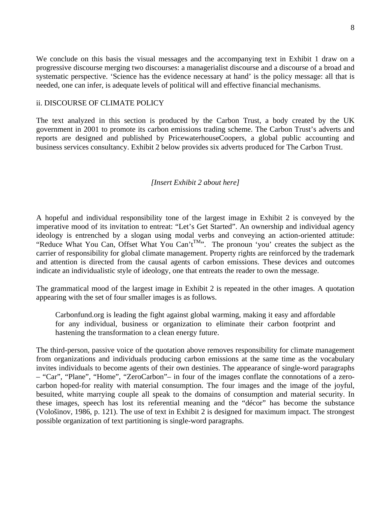We conclude on this basis the visual messages and the accompanying text in Exhibit 1 draw on a progressive discourse merging two discourses: a managerialist discourse and a discourse of a broad and systematic perspective. 'Science has the evidence necessary at hand' is the policy message: all that is needed, one can infer, is adequate levels of political will and effective financial mechanisms.

### ii. DISCOURSE OF CLIMATE POLICY

The text analyzed in this section is produced by the Carbon Trust, a body created by the UK government in 2001 to promote its carbon emissions trading scheme. The Carbon Trust's adverts and reports are designed and published by PricewaterhouseCoopers, a global public accounting and business services consultancy. Exhibit 2 below provides six adverts produced for The Carbon Trust.

### *[Insert Exhibit 2 about here]*

A hopeful and individual responsibility tone of the largest image in Exhibit 2 is conveyed by the imperative mood of its invitation to entreat: "Let's Get Started". An ownership and individual agency ideology is entrenched by a slogan using modal verbs and conveying an action-oriented attitude: "Reduce What You Can, Offset What You Can't<sup>TM</sup>". The pronoun 'you' creates the subject as the carrier of responsibility for global climate management. Property rights are reinforced by the trademark and attention is directed from the causal agents of carbon emissions. These devices and outcomes indicate an individualistic style of ideology, one that entreats the reader to own the message.

The grammatical mood of the largest image in Exhibit 2 is repeated in the other images. A quotation appearing with the set of four smaller images is as follows.

Carbonfund.org is leading the fight against global warming, making it easy and affordable for any individual, business or organization to eliminate their carbon footprint and hastening the transformation to a clean energy future.

The third-person, passive voice of the quotation above removes responsibility for climate management from organizations and individuals producing carbon emissions at the same time as the vocabulary invites individuals to become agents of their own destinies. The appearance of single-word paragraphs – "Car", "Plane", "Home", "ZeroCarbon"– in four of the images conflate the connotations of a zerocarbon hoped-for reality with material consumption. The four images and the image of the joyful, besuited, white marrying couple all speak to the domains of consumption and material security. In these images, speech has lost its referential meaning and the "décor" has become the substance (Vološinov, 1986, p. 121). The use of text in Exhibit 2 is designed for maximum impact. The strongest possible organization of text partitioning is single-word paragraphs.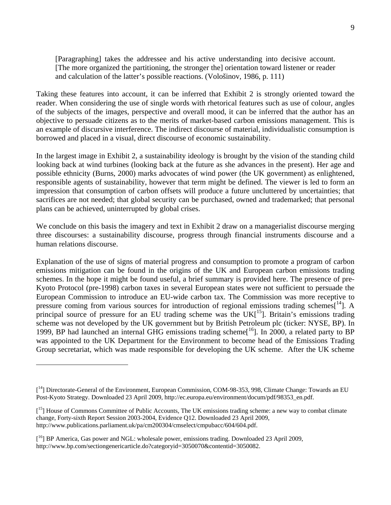[Paragraphing] takes the addressee and his active understanding into decisive account. [The more organized the partitioning, the stronger the] orientation toward listener or reader and calculation of the latter's possible reactions. (Vološinov, 1986, p. 111)

Taking these features into account, it can be inferred that Exhibit 2 is strongly oriented toward the reader. When considering the use of single words with rhetorical features such as use of colour, angles of the subjects of the images, perspective and overall mood, it can be inferred that the author has an objective to persuade citizens as to the merits of market-based carbon emissions management. This is an example of discursive interference. The indirect discourse of material, individualistic consumption is borrowed and placed in a visual, direct discourse of economic sustainability.

In the largest image in Exhibit 2, a sustainability ideology is brought by the vision of the standing child looking back at wind turbines (looking back at the future as she advances in the present). Her age and possible ethnicity (Burns, 2000) marks advocates of wind power (the UK government) as enlightened, responsible agents of sustainability, however that term might be defined. The viewer is led to form an impression that consumption of carbon offsets will produce a future uncluttered by uncertainties; that sacrifices are not needed; that global security can be purchased, owned and trademarked; that personal plans can be achieved, uninterrupted by global crises.

We conclude on this basis the imagery and text in Exhibit 2 draw on a managerialist discourse merging three discourses: a sustainability discourse, progress through financial instruments discourse and a human relations discourse.

Explanation of the use of signs of material progress and consumption to promote a program of carbon emissions mitigation can be found in the origins of the UK and European carbon emissions trading schemes. In the hope it might be found useful, a brief summary is provided here. The presence of pre-Kyoto Protocol (pre-1998) carbon taxes in several European states were not sufficient to persuade the European Commission to introduce an EU-wide carbon tax. The Commission was more receptive to pressure coming from various sources for introduction of regional emissions trading schemes $[14]$ . A principal source of pressure for an EU trading scheme was the  $UK[<sup>15</sup>]$ . Britain's emissions trading scheme was not developed by the UK government but by British Petroleum plc (ticker: NYSE, BP). In 1999, BP had launched an internal GHG emissions trading scheme<sup>[16</sup>]. In 2000, a related party to BP was appointed to the UK Department for the Environment to become head of the Emissions Trading Group secretariat, which was made responsible for developing the UK scheme. After the UK scheme

<sup>[&</sup>lt;sup>14</sup>] Directorate-General of the Environment, European Commission, COM-98-353, 998, Climate Change: Towards an EU Post-Kyoto Strategy. Downloaded 23 April 2009, http://ec.europa.eu/environment/docum/pdf/98353\_en.pdf.

<sup>[&</sup>lt;sup>15</sup>] House of Commons Committee of Public Accounts, The UK emissions trading scheme: a new way to combat climate change, Forty-sixth Report Session 2003-2004, Evidence Q12. Downloaded 23 April 2009, http://www.publications.parliament.uk/pa/cm200304/cmselect/cmpubacc/604/604.pdf.

<sup>[&</sup>lt;sup>16</sup>] BP America, Gas power and NGL: wholesale power, emissions trading. Downloaded 23 April 2009, http://www.bp.com/sectiongenericarticle.do?categoryid=3050070&contentid=3050082.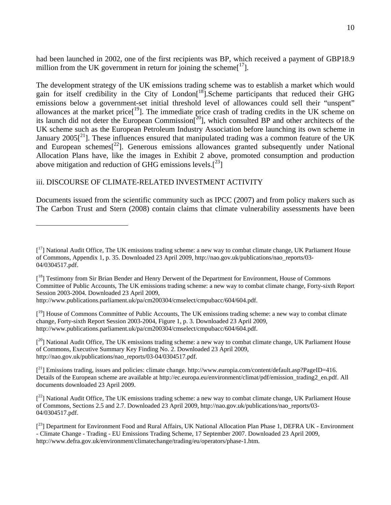had been launched in 2002, one of the first recipients was BP, which received a payment of GBP18.9 million from the UK government in return for joining the scheme $[17]$ .

The development strategy of the UK emissions trading scheme was to establish a market which would gain for itself credibility in the City of London<sup>[18</sup>]. Scheme participants that reduced their GHG emissions below a government-set initial threshold level of allowances could sell their "unspent" allowances at the market price $[19]$ . The immediate price crash of trading credits in the UK scheme on its launch did not deter the European Commission[20], which consulted BP and other architects of the UK scheme such as the European Petroleum Industry Association before launching its own scheme in January 2005<sup>[21</sup>]. These influences ensured that manipulated trading was a common feature of the UK and European schemes $[2^2]$ . Generous emissions allowances granted subsequently under National Allocation Plans have, like the images in Exhibit 2 above, promoted consumption and production above mitigation and reduction of GHG emissions levels.<sup>[23</sup>]

# iii. DISCOURSE OF CLIMATE-RELATED INVESTMENT ACTIVITY

 $\overline{a}$ 

Documents issued from the scientific community such as IPCC (2007) and from policy makers such as The Carbon Trust and Stern (2008) contain claims that climate vulnerability assessments have been

<sup>[&</sup>lt;sup>17</sup>] National Audit Office, The UK emissions trading scheme: a new way to combat climate change, UK Parliament House of Commons, Appendix 1, p. 35. Downloaded 23 April 2009, http://nao.gov.uk/publications/nao\_reports/03- 04/0304517.pdf.

<sup>[&</sup>lt;sup>18</sup>] Testimony from Sir Brian Bender and Henry Derwent of the Department for Environment, House of Commons Committee of Public Accounts, The UK emissions trading scheme: a new way to combat climate change, Forty-sixth Report Session 2003-2004. Downloaded 23 April 2009,

http://www.publications.parliament.uk/pa/cm200304/cmselect/cmpubacc/604/604.pdf.

<sup>[&</sup>lt;sup>19</sup>] House of Commons Committee of Public Accounts, The UK emissions trading scheme: a new way to combat climate change, Forty-sixth Report Session 2003-2004, Figure 1, p. 3. Downloaded 23 April 2009, http://www.publications.parliament.uk/pa/cm200304/cmselect/cmpubacc/604/604.pdf.

 $[2^0]$  National Audit Office, The UK emissions trading scheme: a new way to combat climate change, UK Parliament House of Commons, Executive Summary Key Finding No. 2. Downloaded 23 April 2009, http://nao.gov.uk/publications/nao\_reports/03-04/0304517.pdf.

 $[<sup>21</sup>]$  Emissions trading, issues and policies: climate change. http://www.europia.com/content/default.asp?PageID=416. Details of the European scheme are available at http://ec.europa.eu/environment/climat/pdf/emission\_trading2\_en.pdf. All documents downloaded 23 April 2009.

 $[<sup>22</sup>]$  National Audit Office, The UK emissions trading scheme: a new way to combat climate change, UK Parliament House of Commons, Sections 2.5 and 2.7. Downloaded 23 April 2009, http://nao.gov.uk/publications/nao\_reports/03- 04/0304517.pdf.

<sup>[&</sup>lt;sup>23</sup>] Department for Environment Food and Rural Affairs, UK National Allocation Plan Phase 1, DEFRA UK - Environment - Climate Change - Trading - EU Emissions Trading Scheme, 17 September 2007. Downloaded 23 April 2009, http://www.defra.gov.uk/environment/climatechange/trading/eu/operators/phase-1.htm.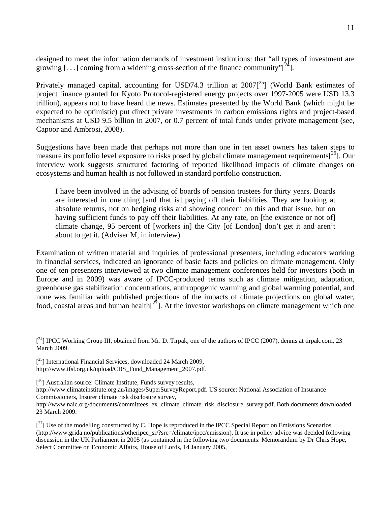designed to meet the information demands of investment institutions: that "all types of investment are growing  $\left[\ldots\right]$  coming from a widening cross-section of the finance community" $\left[\begin{array}{c}2^{4}\end{array}\right]$ .

Privately managed capital, accounting for USD74.3 trillion at 2007<sup>25</sup>] (World Bank estimates of project finance granted for Kyoto Protocol-registered energy projects over 1997-2005 were USD 13.3 trillion), appears not to have heard the news. Estimates presented by the World Bank (which might be expected to be optimistic) put direct private investments in carbon emissions rights and project-based mechanisms at USD 9.5 billion in 2007, or 0.7 percent of total funds under private management (see, Capoor and Ambrosi, 2008).

Suggestions have been made that perhaps not more than one in ten asset owners has taken steps to measure its portfolio level exposure to risks posed by global climate management requirements $\int_{0}^{26}$ . Our interview work suggests structured factoring of reported likelihood impacts of climate changes on ecosystems and human health is not followed in standard portfolio construction.

I have been involved in the advising of boards of pension trustees for thirty years. Boards are interested in one thing [and that is] paying off their liabilities. They are looking at absolute returns, not on hedging risks and showing concern on this and that issue, but on having sufficient funds to pay off their liabilities. At any rate, on [the existence or not of] climate change, 95 percent of [workers in] the City [of London] don't get it and aren't about to get it. (Adviser M, in interview)

Examination of written material and inquiries of professional presenters, including educators working in financial services, indicated an ignorance of basic facts and policies on climate management. Only one of ten presenters interviewed at two climate management conferences held for investors (both in Europe and in 2009) was aware of IPCC-produced terms such as climate mitigation, adaptation, greenhouse gas stabilization concentrations, anthropogenic warming and global warming potential, and none was familiar with published projections of the impacts of climate projections on global water, food, coastal areas and human health $I^{27}$ . At the investor workshops on climate management which one

<sup>[&</sup>lt;sup>24</sup>] IPCC Working Group III, obtained from Mr. D. Tirpak, one of the authors of IPCC (2007), dennis at tirpak.com, 23 March 2009.

<sup>[&</sup>lt;sup>25</sup>] International Financial Services, downloaded 24 March 2009, http://www.ifsl.org.uk/upload/CBS\_Fund\_Management\_2007.pdf.

 $[2^6]$  Australian source: Climate Institute, Funds survey results,

http://www.climateinstitute.org.au/images/SuperSurveyReport.pdf. US source: National Association of Insurance Commissioners, Insurer climate risk disclosure survey,

http://www.naic.org/documents/committees\_ex\_climate\_climate\_risk\_disclosure\_survey.pdf. Both documents downloaded 23 March 2009.

 $[^{27}]$  Use of the modelling constructed by C. Hope is reproduced in the IPCC Special Report on Emissions Scenarios (http://www.grida.no/publications/otheripcc\_sr/?src=/climate/ipcc/emission). It use in policy advice was decided following discussion in the UK Parliament in 2005 (as contained in the following two documents: Memorandum by Dr Chris Hope, Select Committee on Economic Affairs, House of Lords, 14 January 2005,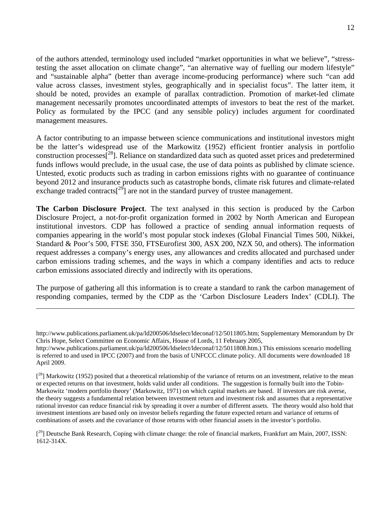of the authors attended, terminology used included "market opportunities in what we believe", "stresstesting the asset allocation on climate change", "an alternative way of fuelling our modern lifestyle" and "sustainable alpha" (better than average income-producing performance) where such "can add value across classes, investment styles, geographically and in specialist focus". The latter item, it should be noted, provides an example of parallax contradiction. Promotion of market-led climate management necessarily promotes uncoordinated attempts of investors to beat the rest of the market. Policy as formulated by the IPCC (and any sensible policy) includes argument for coordinated management measures.

A factor contributing to an impasse between science communications and institutional investors might be the latter's widespread use of the Markowitz (1952) efficient frontier analysis in portfolio construction processes $\int^{28}$ ]. Reliance on standardized data such as quoted asset prices and predetermined funds inflows would preclude, in the usual case, the use of data points as published by climate science. Untested, exotic products such as trading in carbon emissions rights with no guarantee of continuance beyond 2012 and insurance products such as catastrophe bonds, climate risk futures and climate-related exchange traded contracts<sup>[29]</sup> are not in the standard purvey of trustee management.

**The Carbon Disclosure Project**. The text analysed in this section is produced by the Carbon Disclosure Project, a not-for-profit organization formed in 2002 by North American and European institutional investors. CDP has followed a practice of sending annual information requests of companies appearing in the world's most popular stock indexes (Global Financial Times 500, Nikkei, Standard & Poor's 500, FTSE 350, FTSEurofirst 300, ASX 200, NZX 50, and others). The information request addresses a company's energy uses, any allowances and credits allocated and purchased under carbon emissions trading schemes, and the ways in which a company identifies and acts to reduce carbon emissions associated directly and indirectly with its operations.

The purpose of gathering all this information is to create a standard to rank the carbon management of responding companies, termed by the CDP as the 'Carbon Disclosure Leaders Index' (CDLI). The

http://www.publications.parliament.uk/pa/ld200506/ldselect/ldeconaf/12/5011805.htm; Supplementary Memorandum by Dr Chris Hope, Select Committee on Economic Affairs, House of Lords, 11 February 2005,

http://www.publications.parliament.uk/pa/ld200506/ldselect/ldeconaf/12/5011808.htm.) This emissions scenario modelling is referred to and used in IPCC (2007) and from the basis of UNFCCC climate policy. All documents were downloaded 18 April 2009.

 $[<sup>28</sup>]$  Markowitz (1952) posited that a theoretical relationship of the variance of returns on an investment, relative to the mean or expected returns on that investment, holds valid under all conditions. The suggestion is formally built into the Tobin-Markowitz 'modern portfolio theory' (Markowitz, 1971) on which capital markets are based. If investors are risk averse, the theory suggests a fundamental relation between investment return and investment risk and assumes that a representative rational investor can reduce financial risk by spreading it over a number of different assets. The theory would also hold that investment intentions are based only on investor beliefs regarding the future expected return and variance of returns of combinations of assets and the covariance of those returns with other financial assets in the investor's portfolio.

 $[^{29}]$  Deutsche Bank Research, Coping with climate change: the role of financial markets, Frankfurt am Main, 2007, ISSN: 1612-314X.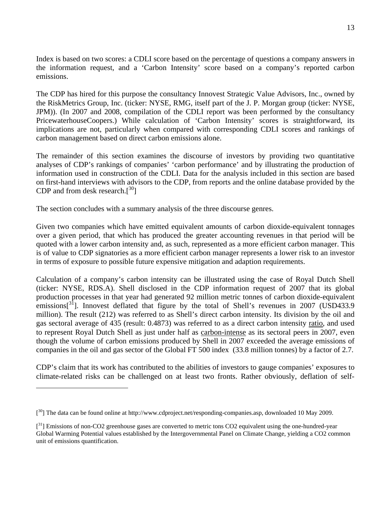Index is based on two scores: a CDLI score based on the percentage of questions a company answers in the information request, and a 'Carbon Intensity' score based on a company's reported carbon emissions.

The CDP has hired for this purpose the consultancy Innovest Strategic Value Advisors, Inc., owned by the RiskMetrics Group, Inc. (ticker: NYSE, RMG, itself part of the J. P. Morgan group (ticker: NYSE, JPM)). (In 2007 and 2008, compilation of the CDLI report was been performed by the consultancy PricewaterhouseCoopers.) While calculation of 'Carbon Intensity' scores is straightforward, its implications are not, particularly when compared with corresponding CDLI scores and rankings of carbon management based on direct carbon emissions alone.

The remainder of this section examines the discourse of investors by providing two quantitative analyses of CDP's rankings of companies' 'carbon performance' and by illustrating the production of information used in construction of the CDLI. Data for the analysis included in this section are based on first-hand interviews with advisors to the CDP, from reports and the online database provided by the CDP and from desk research. $[30]$ 

The section concludes with a summary analysis of the three discourse genres.

Given two companies which have emitted equivalent amounts of carbon dioxide-equivalent tonnages over a given period, that which has produced the greater accounting revenues in that period will be quoted with a lower carbon intensity and, as such, represented as a more efficient carbon manager. This is of value to CDP signatories as a more efficient carbon manager represents a lower risk to an investor in terms of exposure to possible future expensive mitigation and adaption requirements.

Calculation of a company's carbon intensity can be illustrated using the case of Royal Dutch Shell (ticker: NYSE, RDS.A). Shell disclosed in the CDP information request of 2007 that its global production processes in that year had generated 92 million metric tonnes of carbon dioxide-equivalent emissions<sup>[31</sup>]. Innovest deflated that figure by the total of Shell's revenues in 2007 (USD433.9) million). The result (212) was referred to as Shell's direct carbon intensity. Its division by the oil and gas sectoral average of 435 (result: 0.4873) was referred to as a direct carbon intensity ratio, and used to represent Royal Dutch Shell as just under half as carbon-intense as its sectoral peers in 2007, even though the volume of carbon emissions produced by Shell in 2007 exceeded the average emissions of companies in the oil and gas sector of the Global FT 500 index (33.8 million tonnes) by a factor of 2.7.

CDP's claim that its work has contributed to the abilities of investors to gauge companies' exposures to climate-related risks can be challenged on at least two fronts. Rather obviously, deflation of self-

 $[30]$  The data can be found online at http://www.cdproject.net/responding-companies.asp, downloaded 10 May 2009.

<sup>[&</sup>lt;sup>31</sup>] Emissions of non-CO2 greenhouse gases are converted to metric tons CO2 equivalent using the one-hundred-year Global Warming Potential values established by the Intergovernmental Panel on Climate Change, yielding a CO2 common unit of emissions quantification.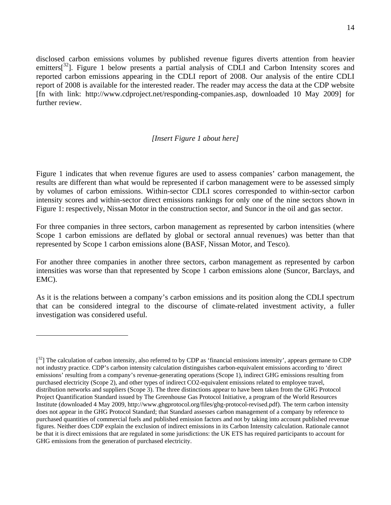disclosed carbon emissions volumes by published revenue figures diverts attention from heavier emitters<sup>[32</sup>]. Figure 1 below presents a partial analysis of CDLI and Carbon Intensity scores and reported carbon emissions appearing in the CDLI report of 2008. Our analysis of the entire CDLI report of 2008 is available for the interested reader. The reader may access the data at the CDP website [fn with link: http://www.cdproject.net/responding-companies.asp, downloaded 10 May 2009] for further review.

### *[Insert Figure 1 about here]*

Figure 1 indicates that when revenue figures are used to assess companies' carbon management, the results are different than what would be represented if carbon management were to be assessed simply by volumes of carbon emissions. Within-sector CDLI scores corresponded to within-sector carbon intensity scores and within-sector direct emissions rankings for only one of the nine sectors shown in Figure 1: respectively, Nissan Motor in the construction sector, and Suncor in the oil and gas sector.

For three companies in three sectors, carbon management as represented by carbon intensities (where Scope 1 carbon emissions are deflated by global or sectoral annual revenues) was better than that represented by Scope 1 carbon emissions alone (BASF, Nissan Motor, and Tesco).

For another three companies in another three sectors, carbon management as represented by carbon intensities was worse than that represented by Scope 1 carbon emissions alone (Suncor, Barclays, and EMC).

As it is the relations between a company's carbon emissions and its position along the CDLI spectrum that can be considered integral to the discourse of climate-related investment activity, a fuller investigation was considered useful.

 $[3<sup>2</sup>]$  The calculation of carbon intensity, also referred to by CDP as 'financial emissions intensity', appears germane to CDP not industry practice. CDP's carbon intensity calculation distinguishes carbon-equivalent emissions according to 'direct emissions' resulting from a company's revenue-generating operations (Scope 1), indirect GHG emissions resulting from purchased electricity (Scope 2), and other types of indirect CO2-equivalent emissions related to employee travel, distribution networks and suppliers (Scope 3). The three distinctions appear to have been taken from the GHG Protocol Project Quantification Standard issued by The Greenhouse Gas Protocol Initiative, a program of the World Resources Institute (downloaded 4 May 2009, http://www.ghgprotocol.org/files/ghg-protocol-revised.pdf). The term carbon intensity does not appear in the GHG Protocol Standard; that Standard assesses carbon management of a company by reference to purchased quantities of commercial fuels and published emission factors and not by taking into account published revenue figures. Neither does CDP explain the exclusion of indirect emissions in its Carbon Intensity calculation. Rationale cannot be that it is direct emissions that are regulated in some jurisdictions: the UK ETS has required participants to account for GHG emissions from the generation of purchased electricity.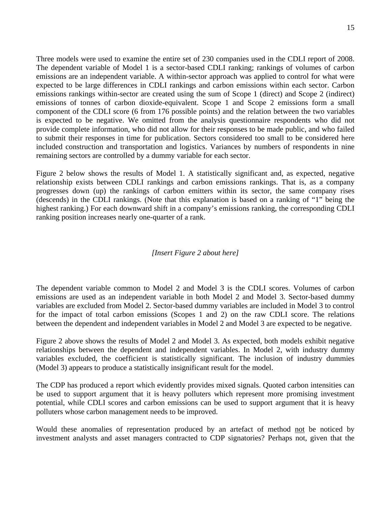Three models were used to examine the entire set of 230 companies used in the CDLI report of 2008. The dependent variable of Model 1 is a sector-based CDLI ranking; rankings of volumes of carbon emissions are an independent variable. A within-sector approach was applied to control for what were expected to be large differences in CDLI rankings and carbon emissions within each sector. Carbon emissions rankings within-sector are created using the sum of Scope 1 (direct) and Scope 2 (indirect) emissions of tonnes of carbon dioxide-equivalent. Scope 1 and Scope 2 emissions form a small component of the CDLI score (6 from 176 possible points) and the relation between the two variables is expected to be negative. We omitted from the analysis questionnaire respondents who did not provide complete information, who did not allow for their responses to be made public, and who failed to submit their responses in time for publication. Sectors considered too small to be considered here included construction and transportation and logistics. Variances by numbers of respondents in nine remaining sectors are controlled by a dummy variable for each sector.

Figure 2 below shows the results of Model 1. A statistically significant and, as expected, negative relationship exists between CDLI rankings and carbon emissions rankings. That is, as a company progresses down (up) the rankings of carbon emitters within its sector, the same company rises (descends) in the CDLI rankings. (Note that this explanation is based on a ranking of "1" being the highest ranking.) For each downward shift in a company's emissions ranking, the corresponding CDLI ranking position increases nearly one-quarter of a rank.

## *[Insert Figure 2 about here]*

The dependent variable common to Model 2 and Model 3 is the CDLI scores. Volumes of carbon emissions are used as an independent variable in both Model 2 and Model 3. Sector-based dummy variables are excluded from Model 2. Sector-based dummy variables are included in Model 3 to control for the impact of total carbon emissions (Scopes 1 and 2) on the raw CDLI score. The relations between the dependent and independent variables in Model 2 and Model 3 are expected to be negative.

Figure 2 above shows the results of Model 2 and Model 3. As expected, both models exhibit negative relationships between the dependent and independent variables. In Model 2, with industry dummy variables excluded, the coefficient is statistically significant. The inclusion of industry dummies (Model 3) appears to produce a statistically insignificant result for the model.

The CDP has produced a report which evidently provides mixed signals. Quoted carbon intensities can be used to support argument that it is heavy polluters which represent more promising investment potential, while CDLI scores and carbon emissions can be used to support argument that it is heavy polluters whose carbon management needs to be improved.

Would these anomalies of representation produced by an artefact of method not be noticed by investment analysts and asset managers contracted to CDP signatories? Perhaps not, given that the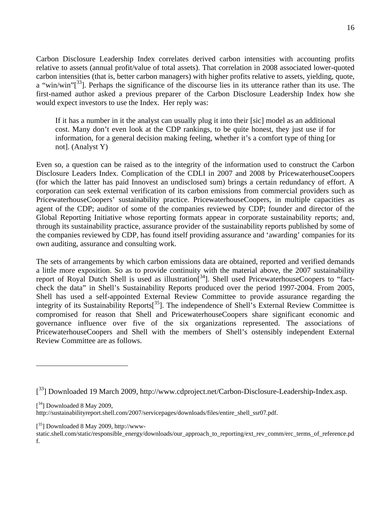Carbon Disclosure Leadership Index correlates derived carbon intensities with accounting profits relative to assets (annual profit/value of total assets). That correlation in 2008 associated lower-quoted carbon intensities (that is, better carbon managers) with higher profits relative to assets, yielding, quote, a "win/win" $\left[3^{3}\right]$ . Perhaps the significance of the discourse lies in its utterance rather than its use. The first-named author asked a previous preparer of the Carbon Disclosure Leadership Index how she would expect investors to use the Index. Her reply was:

If it has a number in it the analyst can usually plug it into their [sic] model as an additional cost. Many don't even look at the CDP rankings, to be quite honest, they just use if for information, for a general decision making feeling, whether it's a comfort type of thing [or not]. (Analyst Y)

Even so, a question can be raised as to the integrity of the information used to construct the Carbon Disclosure Leaders Index. Complication of the CDLI in 2007 and 2008 by PricewaterhouseCoopers (for which the latter has paid Innovest an undisclosed sum) brings a certain redundancy of effort. A corporation can seek external verification of its carbon emissions from commercial providers such as PricewaterhouseCoopers' sustainability practice. PricewaterhouseCoopers, in multiple capacities as agent of the CDP; auditor of some of the companies reviewed by CDP; founder and director of the Global Reporting Initiative whose reporting formats appear in corporate sustainability reports; and, through its sustainability practice, assurance provider of the sustainability reports published by some of the companies reviewed by CDP, has found itself providing assurance and 'awarding' companies for its own auditing, assurance and consulting work.

The sets of arrangements by which carbon emissions data are obtained, reported and verified demands a little more exposition. So as to provide continuity with the material above, the 2007 sustainability report of Royal Dutch Shell is used as illustration<sup>[34</sup>]. Shell used PricewaterhouseCoopers to "factcheck the data" in Shell's Sustainability Reports produced over the period 1997-2004. From 2005, Shell has used a self-appointed External Review Committee to provide assurance regarding the integrity of its Sustainability Reports<sup>[35</sup>]. The independence of Shell's External Review Committee is compromised for reason that Shell and PricewaterhouseCoopers share significant economic and governance influence over five of the six organizations represented. The associations of PricewaterhouseCoopers and Shell with the members of Shell's ostensibly independent External Review Committee are as follows.

 $[$ <sup>34</sup>] Downloaded 8 May 2009,

<sup>[&</sup>lt;sup>33</sup>] Downloaded 19 March 2009, http://www.cdproject.net/Carbon-Disclosure-Leadership-Index.asp.

http://sustainabilityreport.shell.com/2007/servicepages/downloads/files/entire\_shell\_ssr07.pdf.

<sup>[&</sup>lt;sup>35</sup>] Downloaded 8 May 2009, http://www-

static.shell.com/static/responsible\_energy/downloads/our\_approach\_to\_reporting/ext\_rev\_comm/erc\_terms\_of\_reference.pd f.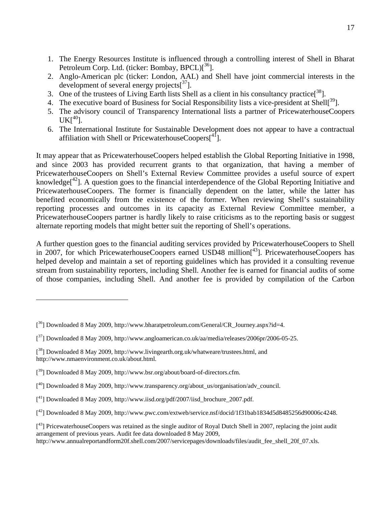- 1. The Energy Resources Institute is influenced through a controlling interest of Shell in Bharat Petroleum Corp. Ltd. (ticker: Bombay, BPCL)<sup>[36</sup>].
- 2. Anglo-American plc (ticker: London, AAL) and Shell have joint commercial interests in the development of several energy projects $[37]$ .
- 3. One of the trustees of Living Earth lists Shell as a client in his consultancy practice $[38]$ .
- 4. The executive board of Business for Social Responsibility lists a vice-president at Shell<sup>[39</sup>].
- 5. The advisory council of Transparency International lists a partner of PricewaterhouseCoopers  $UK[<sup>40</sup>].$
- 6. The International Institute for Sustainable Development does not appear to have a contractual affiliation with Shell or PricewaterhouseCoopers $[4]$ .

It may appear that as PricewaterhouseCoopers helped establish the Global Reporting Initiative in 1998, and since 2003 has provided recurrent grants to that organization, that having a member of PricewaterhouseCoopers on Shell's External Review Committee provides a useful source of expert knowledge<sup> $^{42}$ </sup>. A question goes to the financial interdependence of the Global Reporting Initiative and PricewaterhouseCoopers. The former is financially dependent on the latter, while the latter has benefited economically from the existence of the former. When reviewing Shell's sustainability reporting processes and outcomes in its capacity as External Review Committee member, a PricewaterhouseCoopers partner is hardly likely to raise criticisms as to the reporting basis or suggest alternate reporting models that might better suit the reporting of Shell's operations.

A further question goes to the financial auditing services provided by PricewaterhouseCoopers to Shell in 2007, for which PricewaterhouseCoopers earned USD48 million<sup>[43</sup>]. PricewaterhouseCoopers has helped develop and maintain a set of reporting guidelines which has provided it a consulting revenue stream from sustainability reporters, including Shell. Another fee is earned for financial audits of some of those companies, including Shell. And another fee is provided by compilation of the Carbon

<sup>[&</sup>lt;sup>36</sup>] Downloaded 8 May 2009, http://www.bharatpetroleum.com/General/CR\_Journey.aspx?id=4.

 $[^{37}]$  Downloaded 8 May 2009, http://www.angloamerican.co.uk/aa/media/releases/2006pr/2006-05-25.

<sup>[&</sup>lt;sup>38</sup>] Downloaded 8 May 2009, http://www.livingearth.org.uk/whatweare/trustees.html, and http://www.nmaenvironment.co.uk/about.html.

<sup>[&</sup>lt;sup>39</sup>] Downloaded 8 May 2009, http://www.bsr.org/about/board-of-directors.cfm.

<sup>[&</sup>lt;sup>40</sup>] Downloaded 8 May 2009, http://www.transparency.org/about\_us/organisation/adv\_council.

 $[$ <sup>41</sup>] Downloaded 8 May 2009, http://www.iisd.org/pdf/2007/iisd\_brochure\_2007.pdf.

 $[$ <sup>42</sup>] Downloaded 8 May 2009, http://www.pwc.com/extweb/service.nsf/docid/1f31bab1834d5d8485256d90006c4248.

<sup>[&</sup>lt;sup>43</sup>] PricewaterhouseCoopers was retained as the single auditor of Royal Dutch Shell in 2007, replacing the joint audit arrangement of previous years. Audit fee data downloaded 8 May 2009,

http://www.annualreportandform20f.shell.com/2007/servicepages/downloads/files/audit\_fee\_shell\_20f\_07.xls.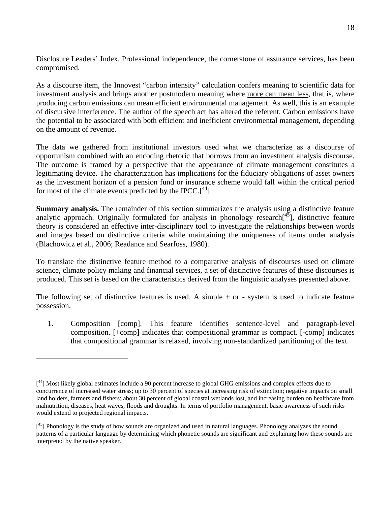Disclosure Leaders' Index. Professional independence, the cornerstone of assurance services, has been compromised.

As a discourse item, the Innovest "carbon intensity" calculation confers meaning to scientific data for investment analysis and brings another postmodern meaning where more can mean less, that is, where producing carbon emissions can mean efficient environmental management. As well, this is an example of discursive interference. The author of the speech act has altered the referent. Carbon emissions have the potential to be associated with both efficient and inefficient environmental management, depending on the amount of revenue.

The data we gathered from institutional investors used what we characterize as a discourse of opportunism combined with an encoding rhetoric that borrows from an investment analysis discourse. The outcome is framed by a perspective that the appearance of climate management constitutes a legitimating device. The characterization has implications for the fiduciary obligations of asset owners as the investment horizon of a pension fund or insurance scheme would fall within the critical period for most of the climate events predicted by the IPCC. $[44]$ 

**Summary analysis.** The remainder of this section summarizes the analysis using a distinctive feature analytic approach. Originally formulated for analysis in phonology research $\int_{0}^{45}$ , distinctive feature theory is considered an effective inter-disciplinary tool to investigate the relationships between words and images based on distinctive criteria while maintaining the uniqueness of items under analysis (Blachowicz et al., 2006; Readance and Searfoss, 1980).

To translate the distinctive feature method to a comparative analysis of discourses used on climate science, climate policy making and financial services, a set of distinctive features of these discourses is produced. This set is based on the characteristics derived from the linguistic analyses presented above.

The following set of distinctive features is used. A simple  $+$  or  $-$  system is used to indicate feature possession.

1. Composition [comp]. This feature identifies sentence-level and paragraph-level composition. [+comp] indicates that compositional grammar is compact. [-comp] indicates that compositional grammar is relaxed, involving non-standardized partitioning of the text.

<sup>[&</sup>lt;sup>44</sup>] Most likely global estimates include a 90 percent increase to global GHG emissions and complex effects due to concurrence of increased water stress; up to 30 percent of species at increasing risk of extinction; negative impacts on small land holders, farmers and fishers; about 30 percent of global coastal wetlands lost, and increasing burden on healthcare from malnutrition, diseases, heat waves, floods and droughts. In terms of portfolio management, basic awareness of such risks would extend to projected regional impacts.

<sup>[&</sup>lt;sup>45</sup>] Phonology is the study of how sounds are organized and used in natural languages. Phonology analyzes the sound patterns of a particular language by determining which phonetic sounds are significant and explaining how these sounds are interpreted by the native speaker.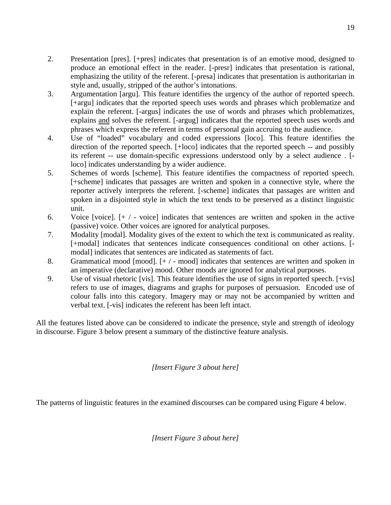- 2. Presentation [pres]. [+pres] indicates that presentation is of an emotive mood, designed to produce an emotional effect in the reader. [-presr] indicates that presentation is rational, emphasizing the utility of the referent. [-presa] indicates that presentation is authoritarian in style and, usually, stripped of the author's intonations.
- 3. Argumentation [argu]. This feature identifies the urgency of the author of reported speech. [+argu] indicates that the reported speech uses words and phrases which problematize and explain the referent. [-argus] indicates the use of words and phrases which problematizes, explains and solves the referent. [-argug] indicates that the reported speech uses words and phrases which express the referent in terms of personal gain accruing to the audience.
- 4. Use of "loaded" vocabulary and coded expressions [loco]. This feature identifies the direction of the reported speech. [+loco] indicates that the reported speech -- and possibly its referent -- use domain-specific expressions understood only by a select audience . [ loco] indicates understanding by a wider audience.
- 5. Schemes of words [scheme]. This feature identifies the compactness of reported speech. [+scheme] indicates that passages are written and spoken in a connective style, where the reporter actively interprets the referent. [-scheme] indicates that passages are written and spoken in a disjointed style in which the text tends to be preserved as a distinct linguistic unit.
- 6. Voice [voice]. [+ / voice] indicates that sentences are written and spoken in the active (passive) voice. Other voices are ignored for analytical purposes.
- 7. Modality [modal]. Modality gives of the extent to which the text is communicated as reality. [+modal] indicates that sentences indicate consequences conditional on other actions. [ modal] indicates that sentences are indicated as statements of fact.
- 8. Grammatical mood [mood].  $[+/$  mood] indicates that sentences are written and spoken in an imperative (declarative) mood. Other moods are ignored for analytical purposes.
- 9. Use of visual rhetoric [vis]. This feature identifies the use of signs in reported speech. [+vis] refers to use of images, diagrams and graphs for purposes of persuasion. Encoded use of colour falls into this category. Imagery may or may not be accompanied by written and verbal text. [-vis] indicates the referent has been left intact.

All the features listed above can be considered to indicate the presence, style and strength of ideology in discourse. Figure 3 below present a summary of the distinctive feature analysis.

*[Insert Figure 3 about here]* 

The patterns of linguistic features in the examined discourses can be compared using Figure 4 below.

19

*[Insert Figure 3 about here]*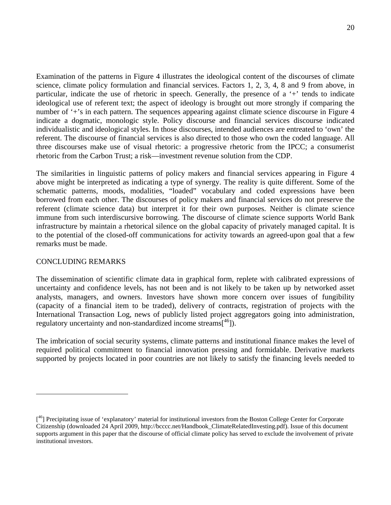Examination of the patterns in Figure 4 illustrates the ideological content of the discourses of climate science, climate policy formulation and financial services. Factors 1, 2, 3, 4, 8 and 9 from above, in particular, indicate the use of rhetoric in speech. Generally, the presence of a '+' tends to indicate ideological use of referent text; the aspect of ideology is brought out more strongly if comparing the number of '+'s in each pattern. The sequences appearing against climate science discourse in Figure 4 indicate a dogmatic, monologic style. Policy discourse and financial services discourse indicated individualistic and ideological styles. In those discourses, intended audiences are entreated to 'own' the referent. The discourse of financial services is also directed to those who own the coded language. All three discourses make use of visual rhetoric: a progressive rhetoric from the IPCC; a consumerist rhetoric from the Carbon Trust; a risk—investment revenue solution from the CDP.

The similarities in linguistic patterns of policy makers and financial services appearing in Figure 4 above might be interpreted as indicating a type of synergy. The reality is quite different. Some of the schematic patterns, moods, modalities, "loaded" vocabulary and coded expressions have been borrowed from each other. The discourses of policy makers and financial services do not preserve the referent (climate science data) but interpret it for their own purposes. Neither is climate science immune from such interdiscursive borrowing. The discourse of climate science supports World Bank infrastructure by maintain a rhetorical silence on the global capacity of privately managed capital. It is to the potential of the closed-off communications for activity towards an agreed-upon goal that a few remarks must be made.

## CONCLUDING REMARKS

 $\overline{a}$ 

The dissemination of scientific climate data in graphical form, replete with calibrated expressions of uncertainty and confidence levels, has not been and is not likely to be taken up by networked asset analysts, managers, and owners. Investors have shown more concern over issues of fungibility (capacity of a financial item to be traded), delivery of contracts, registration of projects with the International Transaction Log, news of publicly listed project aggregators going into administration, regulatory uncertainty and non-standardized income streams $\binom{46}{1}$ .

The imbrication of social security systems, climate patterns and institutional finance makes the level of required political commitment to financial innovation pressing and formidable. Derivative markets supported by projects located in poor countries are not likely to satisfy the financing levels needed to

<sup>[&</sup>lt;sup>46</sup>] Precipitating issue of 'explanatory' material for institutional investors from the Boston College Center for Corporate Citizenship (downloaded 24 April 2009, http://bcccc.net/Handbook\_ClimateRelatedInvesting.pdf). Issue of this document supports argument in this paper that the discourse of official climate policy has served to exclude the involvement of private institutional investors.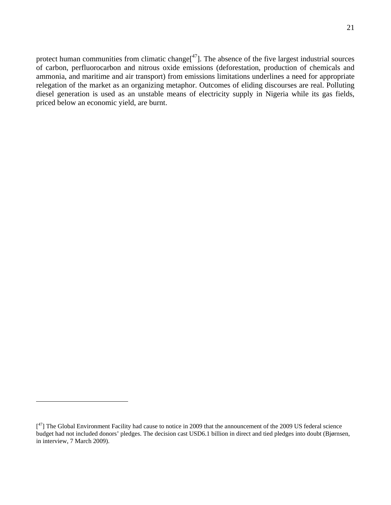protect human communities from climatic change $[47]$ . The absence of the five largest industrial sources of carbon, perfluorocarbon and nitrous oxide emissions (deforestation, production of chemicals and ammonia, and maritime and air transport) from emissions limitations underlines a need for appropriate relegation of the market as an organizing metaphor. Outcomes of eliding discourses are real. Polluting diesel generation is used as an unstable means of electricity supply in Nigeria while its gas fields, priced below an economic yield, are burnt.

 $[$ <sup>47</sup>] The Global Environment Facility had cause to notice in 2009 that the announcement of the 2009 US federal science budget had not included donors' pledges. The decision cast USD6.1 billion in direct and tied pledges into doubt (Bjørnsen, in interview, 7 March 2009).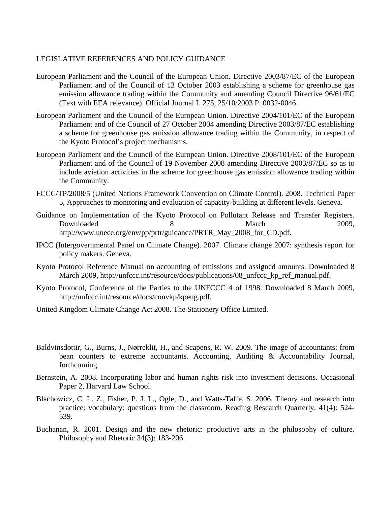### LEGISLATIVE REFERENCES AND POLICY GUIDANCE

- European Parliament and the Council of the European Union. Directive 2003/87/EC of the European Parliament and of the Council of 13 October 2003 establishing a scheme for greenhouse gas emission allowance trading within the Community and amending Council Directive 96/61/EC (Text with EEA relevance). Official Journal L 275, 25/10/2003 P. 0032-0046.
- European Parliament and the Council of the European Union. Directive 2004/101/EC of the European Parliament and of the Council of 27 October 2004 amending Directive 2003/87/EC establishing a scheme for greenhouse gas emission allowance trading within the Community, in respect of the Kyoto Protocol's project mechanisms.
- European Parliament and the Council of the European Union. Directive 2008/101/EC of the European Parliament and of the Council of 19 November 2008 amending Directive 2003/87/EC so as to include aviation activities in the scheme for greenhouse gas emission allowance trading within the Community.
- FCCC/TP/2008/5 (United Nations Framework Convention on Climate Control). 2008. Technical Paper 5, Approaches to monitoring and evaluation of capacity-building at different levels. Geneva.
- Guidance on Implementation of the Kyoto Protocol on Pollutant Release and Transfer Registers. Downloaded 8 March 2009, http://www.unece.org/env/pp/prtr/guidance/PRTR\_May\_2008\_for\_CD.pdf.
- IPCC (Intergovernmental Panel on Climate Change). 2007. Climate change 2007: synthesis report for policy makers. Geneva.
- Kyoto Protocol Reference Manual on accounting of emissions and assigned amounts. Downloaded 8 March 2009, http://unfccc.int/resource/docs/publications/08\_unfccc\_kp\_ref\_manual.pdf.
- Kyoto Protocol, Conference of the Parties to the UNFCCC 4 of 1998. Downloaded 8 March 2009, http://unfccc.int/resource/docs/convkp/kpeng.pdf.
- United Kingdom Climate Change Act 2008. The Stationery Office Limited.
- Baldvinsdottir, G., Burns, J., Nørreklit, H., and Scapens, R. W. 2009. The image of accountants: from bean counters to extreme accountants. Accounting, Auditing & Accountability Journal, forthcoming.
- Bernstein, A. 2008. Incorporating labor and human rights risk into investment decisions. Occasional Paper 2, Harvard Law School.
- Blachowicz, C. L. Z., Fisher, P. J. L., Ogle, D., and Watts-Taffe, S. 2006. Theory and research into practice: vocabulary: questions from the classroom. Reading Research Quarterly, 41(4): 524- 539.
- Buchanan, R. 2001. Design and the new rhetoric: productive arts in the philosophy of culture. Philosophy and Rhetoric 34(3): 183-206.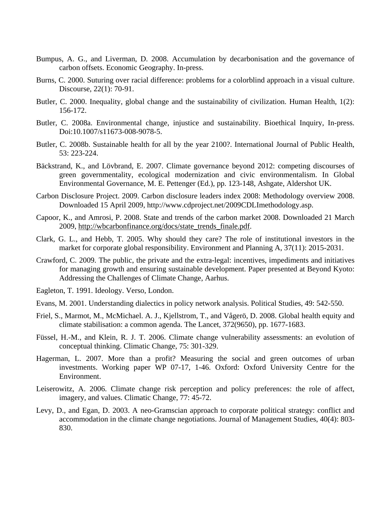- Bumpus, A. G., and Liverman, D. 2008. Accumulation by decarbonisation and the governance of carbon offsets. Economic Geography. In-press.
- Burns, C. 2000. Suturing over racial difference: problems for a colorblind approach in a visual culture. Discourse, 22(1): 70-91.
- Butler, C. 2000. Inequality, global change and the sustainability of civilization. Human Health, 1(2): 156-172.
- Butler, C. 2008a. Environmental change, injustice and sustainability. Bioethical Inquiry, In-press. Doi:10.1007/s11673-008-9078-5.
- Butler, C. 2008b. Sustainable health for all by the year 2100?. International Journal of Public Health, 53: 223-224.
- Bäckstrand, K., and Lövbrand, E. 2007. Climate governance beyond 2012: competing discourses of green governmentality, ecological modernization and civic environmentalism. In Global Environmental Governance, M. E. Pettenger (Ed.), pp. 123-148, Ashgate, Aldershot UK.
- Carbon Disclosure Project. 2009. Carbon disclosure leaders index 2008: Methodology overview 2008. Downloaded 15 April 2009, http://www.cdproject.net/2009CDLImethodology.asp.
- Capoor, K., and Amrosi, P. 2008. State and trends of the carbon market 2008. Downloaded 21 March 2009, http://wbcarbonfinance.org/docs/state\_trends\_finale.pdf.
- Clark, G. L., and Hebb, T. 2005. Why should they care? The role of institutional investors in the market for corporate global responsibility. Environment and Planning A, 37(11): 2015-2031.
- Crawford, C. 2009. The public, the private and the extra-legal: incentives, impediments and initiatives for managing growth and ensuring sustainable development. Paper presented at Beyond Kyoto: Addressing the Challenges of Climate Change, Aarhus.
- Eagleton, T. 1991. Ideology. Verso, London.
- Evans, M. 2001. Understanding dialectics in policy network analysis. Political Studies, 49: 542-550.
- Friel, S., Marmot, M., McMichael. A. J., Kjellstrom, T., and Vågerö, D. 2008. Global health equity and climate stabilisation: a common agenda. The Lancet, 372(9650), pp. 1677-1683.
- Füssel, H.-M., and Klein, R. J. T. 2006. Climate change vulnerability assessments: an evolution of conceptual thinking. Climatic Change, 75: 301-329.
- Hagerman, L. 2007. More than a profit? Measuring the social and green outcomes of urban investments. Working paper WP 07-17, 1-46. Oxford: Oxford University Centre for the Environment.
- Leiserowitz, A. 2006. Climate change risk perception and policy preferences: the role of affect, imagery, and values. Climatic Change, 77: 45-72.
- Levy, D., and Egan, D. 2003. A neo-Gramscian approach to corporate political strategy: conflict and accommodation in the climate change negotiations. Journal of Management Studies, 40(4): 803- 830.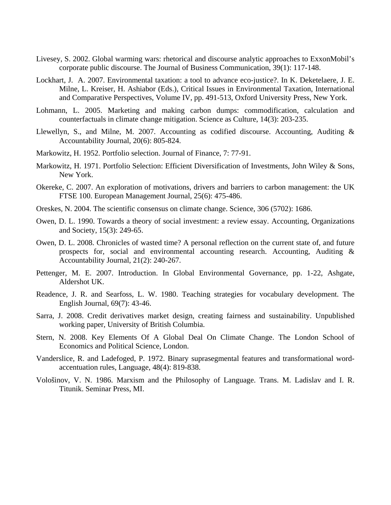- Livesey, S. 2002. Global warming wars: rhetorical and discourse analytic approaches to ExxonMobil's corporate public discourse. The Journal of Business Communication, 39(1): 117-148.
- Lockhart, J. A. 2007. Environmental taxation: a tool to advance eco-justice?. In K. Deketelaere, J. E. Milne, L. Kreiser, H. Ashiabor (Eds.), Critical Issues in Environmental Taxation, International and Comparative Perspectives, Volume IV, pp. 491-513, Oxford University Press, New York.
- Lohmann, L. 2005. Marketing and making carbon dumps: commodification, calculation and counterfactuals in climate change mitigation. Science as Culture, 14(3): 203-235.
- Llewellyn, S., and Milne, M. 2007. Accounting as codified discourse. Accounting, Auditing & Accountability Journal, 20(6): 805-824.
- Markowitz, H. 1952. Portfolio selection. Journal of Finance, 7: 77-91.
- Markowitz, H. 1971. Portfolio Selection: Efficient Diversification of Investments, John Wiley & Sons, New York.
- Okereke, C. 2007. An exploration of motivations, drivers and barriers to carbon management: the UK FTSE 100. European Management Journal, 25(6): 475-486.
- Oreskes, N. 2004. The scientific consensus on climate change. Science, 306 (5702): 1686.
- Owen, D. L. 1990. Towards a theory of social investment: a review essay. Accounting, Organizations and Society, 15(3): 249-65.
- Owen, D. L. 2008. Chronicles of wasted time? A personal reflection on the current state of, and future prospects for, social and environmental accounting research. Accounting, Auditing & Accountability Journal, 21(2): 240-267.
- Pettenger, M. E. 2007. Introduction. In Global Environmental Governance, pp. 1-22, Ashgate, Aldershot UK.
- Readence, J. R. and Searfoss, L. W. 1980. Teaching strategies for vocabulary development. The English Journal, 69(7): 43-46.
- Sarra, J. 2008. Credit derivatives market design, creating fairness and sustainability. Unpublished working paper, University of British Columbia.
- Stern, N. 2008. Key Elements Of A Global Deal On Climate Change. The London School of Economics and Political Science, London.
- Vanderslice, R. and Ladefoged, P. 1972. Binary suprasegmental features and transformational wordaccentuation rules, Language, 48(4): 819-838.
- Vološinov, V. N. 1986. Marxism and the Philosophy of Language. Trans. M. Ladislav and I. R. Titunik. Seminar Press, MI.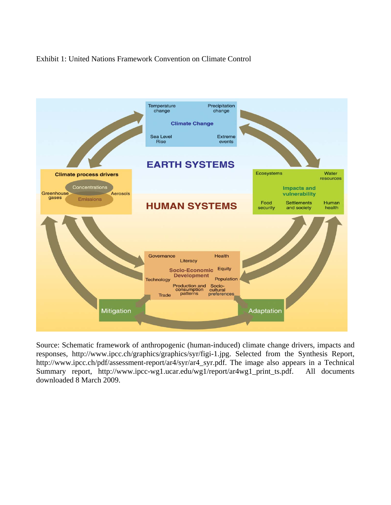# Exhibit 1: United Nations Framework Convention on Climate Control



Source: Schematic framework of anthropogenic (human-induced) climate change drivers, impacts and responses, http://www.ipcc.ch/graphics/graphics/syr/figi-1.jpg. Selected from the Synthesis Report, http://www.ipcc.ch/pdf/assessment-report/ar4/syr/ar4\_syr.pdf. The image also appears in a Technical Summary report, http://www.ipcc-wg1.ucar.edu/wg1/report/ar4wg1\_print\_ts.pdf. All documents downloaded 8 March 2009.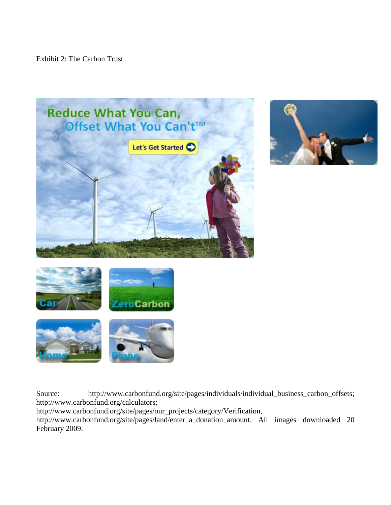Exhibit 2: The Carbon Trust









Source: http://www.carbonfund.org/site/pages/individuals/individual\_business\_carbon\_offsets; http://www.carbonfund.org/calculators;

http://www.carbonfund.org/site/pages/our\_projects/category/Verification,

http://www.carbonfund.org/site/pages/land/enter\_a\_donation\_amount. All images downloaded 20 February 2009.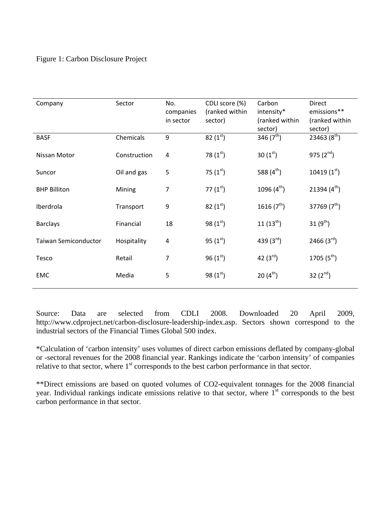### Figure 1: Carbon Disclosure Project

| Company                     | Sector       | No.<br>companies<br>in sector | CDLI score (%)<br>(ranked within<br>sector) | Carbon<br>intensity*<br>(ranked within<br>sector) | Direct<br>emissions**<br>(ranked within<br>sector) |
|-----------------------------|--------------|-------------------------------|---------------------------------------------|---------------------------------------------------|----------------------------------------------------|
| <b>BASF</b>                 | Chemicals    | 9                             | 82 $(1st)$                                  | 346 $(7th)$                                       | 23463 $(8th)$                                      |
| Nissan Motor                | Construction | 4                             | 78 $(1st)$                                  | 30 $(1st)$                                        | 975 $(2^{nd})$                                     |
| Suncor                      | Oil and gas  | 5                             | 75 $(1^{\rm st})$                           | 588 $(4th)$                                       | 10419 $(1st)$                                      |
| <b>BHP Billiton</b>         | Mining       | $\overline{7}$                | 77 $(1^{st})$                               | 1096 $(4^{th})$                                   | 21394 $(4^{th})$                                   |
| Iberdrola                   | Transport    | 9                             | 82 $(1st)$                                  | 1616 $(7th)$                                      | 37769 $(7th)$                                      |
| <b>Barclays</b>             | Financial    | 18                            | 98 $(1st)$                                  | $11(13^{th})$                                     | 31 $(9^{th})$                                      |
| <b>Taiwan Semiconductor</b> | Hospitality  | 4                             | 95 $(1st)$                                  | 439 $(3^{rd})$                                    | 2466 $(3^{rd})$                                    |
| Tesco                       | Retail       | 7                             | $96(1^{st})$                                | 42 $(3^{rd})$                                     | 1705 $(5^{th})$                                    |
| <b>EMC</b>                  | Media        | 5                             | 98 $(1st)$                                  | $20(4^{th})$                                      | 32 $(2^{nd})$                                      |

Source: Data are selected from CDLI 2008. Downloaded 20 April 2009, http://www.cdproject.net/carbon-disclosure-leadership-index.asp. Sectors shown correspond to the industrial sectors of the Financial Times Global 500 index.

\*Calculation of 'carbon intensity' uses volumes of direct carbon emissions deflated by company-global or -sectoral revenues for the 2008 financial year. Rankings indicate the 'carbon intensity' of companies relative to that sector, where 1<sup>st</sup> corresponds to the best carbon performance in that sector.

\*\*Direct emissions are based on quoted volumes of CO2-equivalent tonnages for the 2008 financial year. Individual rankings indicate emissions relative to that sector, where  $I<sup>st</sup>$  corresponds to the best carbon performance in that sector.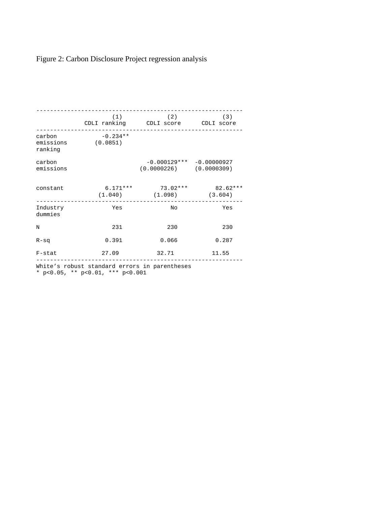# Figure 2: Carbon Disclosure Project regression analysis

|                                | (1)                    | (2)<br>CDLI ranking CDLI score CDLI score                 | (3)                 |
|--------------------------------|------------------------|-----------------------------------------------------------|---------------------|
| carbon<br>emissions<br>ranking | $-0.234**$<br>(0.0851) |                                                           |                     |
| carbon<br>emissions            |                        | $-0.000129*** -0.00000927$<br>$(0.0000226)$ $(0.0000309)$ |                     |
| constant                       | $6.171***$<br>(1.040)  | 73.02***<br>(1.098)                                       | 82.62***<br>(3.604) |
| Industry<br>dummies            | Yes                    | No                                                        | Yes                 |
| $\mathbf N$                    | 231                    | 230                                                       | 230                 |
| $R-Sq$                         | 0.391                  | 0.066                                                     | 0.287               |
| $F$ -stat                      | 27.09                  | 32.71                                                     | 11.55               |

White's robust standard errors in parentheses

\* p<0.05, \*\* p<0.01, \*\*\* p<0.001